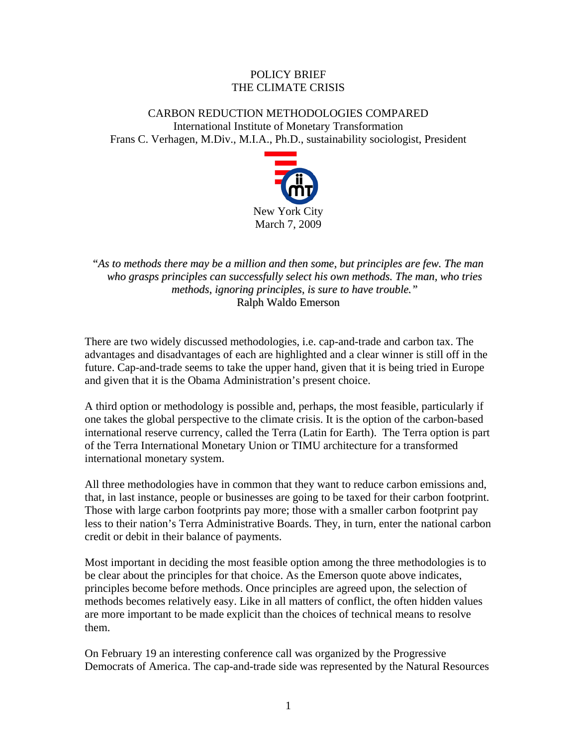## POLICY BRIEF THE CLIMATE CRISIS

CARBON REDUCTION METHODOLOGIES COMPARED International Institute of Monetary Transformation Frans C. Verhagen, M.Div., M.I.A., Ph.D., sustainability sociologist, President



"*As to methods there may be a million and then some, but principles are few. The man who grasps principles can successfully select his own methods. The man, who tries methods, ignoring principles, is sure to have trouble."* Ralph Waldo Emerson

There are two widely discussed methodologies, i.e. cap-and-trade and carbon tax. The advantages and disadvantages of each are highlighted and a clear winner is still off in the future. Cap-and-trade seems to take the upper hand, given that it is being tried in Europe and given that it is the Obama Administration's present choice.

A third option or methodology is possible and, perhaps, the most feasible, particularly if one takes the global perspective to the climate crisis. It is the option of the carbon-based international reserve currency, called the Terra (Latin for Earth). The Terra option is part of the Terra International Monetary Union or TIMU architecture for a transformed international monetary system.

All three methodologies have in common that they want to reduce carbon emissions and, that, in last instance, people or businesses are going to be taxed for their carbon footprint. Those with large carbon footprints pay more; those with a smaller carbon footprint pay less to their nation's Terra Administrative Boards. They, in turn, enter the national carbon credit or debit in their balance of payments.

Most important in deciding the most feasible option among the three methodologies is to be clear about the principles for that choice. As the Emerson quote above indicates, principles become before methods. Once principles are agreed upon, the selection of methods becomes relatively easy. Like in all matters of conflict, the often hidden values are more important to be made explicit than the choices of technical means to resolve them.

On February 19 an interesting conference call was organized by the Progressive Democrats of America. The cap-and-trade side was represented by the Natural Resources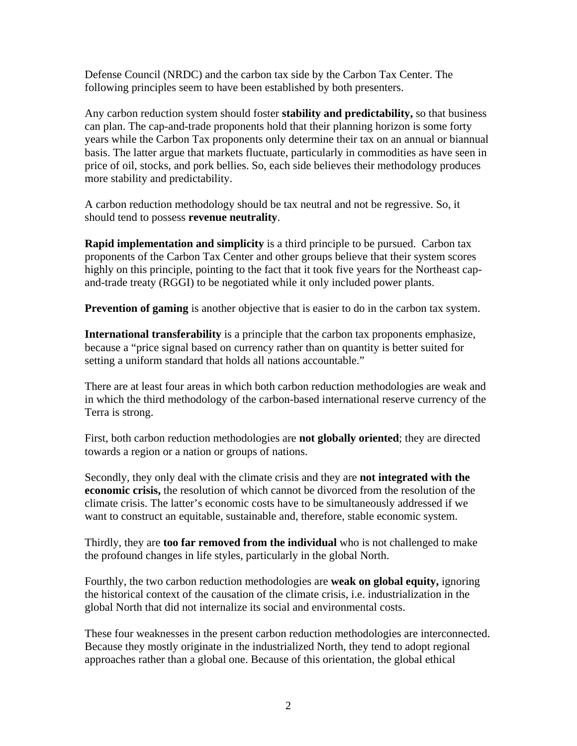Defense Council (NRDC) and the carbon tax side by the Carbon Tax Center. The following principles seem to have been established by both presenters.

Any carbon reduction system should foster **stability and predictability,** so that business can plan. The cap-and-trade proponents hold that their planning horizon is some forty years while the Carbon Tax proponents only determine their tax on an annual or biannual basis. The latter argue that markets fluctuate, particularly in commodities as have seen in price of oil, stocks, and pork bellies. So, each side believes their methodology produces more stability and predictability.

A carbon reduction methodology should be tax neutral and not be regressive. So, it should tend to possess **revenue neutrality**.

**Rapid implementation and simplicity** is a third principle to be pursued. Carbon tax proponents of the Carbon Tax Center and other groups believe that their system scores highly on this principle, pointing to the fact that it took five years for the Northeast capand-trade treaty (RGGI) to be negotiated while it only included power plants.

**Prevention of gaming** is another objective that is easier to do in the carbon tax system.

**International transferability** is a principle that the carbon tax proponents emphasize, because a "price signal based on currency rather than on quantity is better suited for setting a uniform standard that holds all nations accountable."

There are at least four areas in which both carbon reduction methodologies are weak and in which the third methodology of the carbon-based international reserve currency of the Terra is strong.

First, both carbon reduction methodologies are **not globally oriented**; they are directed towards a region or a nation or groups of nations.

Secondly, they only deal with the climate crisis and they are **not integrated with the economic crisis,** the resolution of which cannot be divorced from the resolution of the climate crisis. The latter's economic costs have to be simultaneously addressed if we want to construct an equitable, sustainable and, therefore, stable economic system.

Thirdly, they are **too far removed from the individual** who is not challenged to make the profound changes in life styles, particularly in the global North.

Fourthly, the two carbon reduction methodologies are **weak on global equity,** ignoring the historical context of the causation of the climate crisis, i.e. industrialization in the global North that did not internalize its social and environmental costs.

These four weaknesses in the present carbon reduction methodologies are interconnected. Because they mostly originate in the industrialized North, they tend to adopt regional approaches rather than a global one. Because of this orientation, the global ethical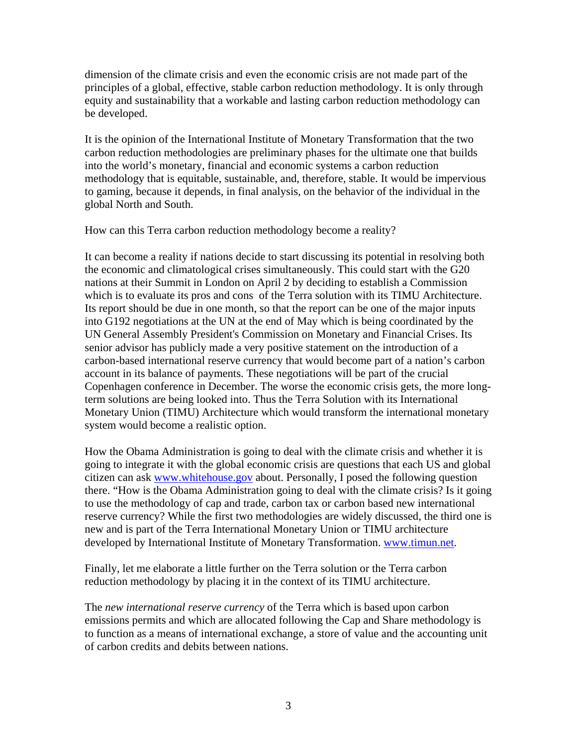dimension of the climate crisis and even the economic crisis are not made part of the principles of a global, effective, stable carbon reduction methodology. It is only through equity and sustainability that a workable and lasting carbon reduction methodology can be developed.

It is the opinion of the International Institute of Monetary Transformation that the two carbon reduction methodologies are preliminary phases for the ultimate one that builds into the world's monetary, financial and economic systems a carbon reduction methodology that is equitable, sustainable, and, therefore, stable. It would be impervious to gaming, because it depends, in final analysis, on the behavior of the individual in the global North and South.

How can this Terra carbon reduction methodology become a reality?

It can become a reality if nations decide to start discussing its potential in resolving both the economic and climatological crises simultaneously. This could start with the G20 nations at their Summit in London on April 2 by deciding to establish a Commission which is to evaluate its pros and cons of the Terra solution with its TIMU Architecture. Its report should be due in one month, so that the report can be one of the major inputs into G192 negotiations at the UN at the end of May which is being coordinated by the UN General Assembly President's Commission on Monetary and Financial Crises. Its senior advisor has publicly made a very positive statement on the introduction of a carbon-based international reserve currency that would become part of a nation's carbon account in its balance of payments. These negotiations will be part of the crucial Copenhagen conference in December. The worse the economic crisis gets, the more longterm solutions are being looked into. Thus the Terra Solution with its International Monetary Union (TIMU) Architecture which would transform the international monetary system would become a realistic option.

How the Obama Administration is going to deal with the climate crisis and whether it is going to integrate it with the global economic crisis are questions that each US and global citizen can ask www.whitehouse.gov about. Personally, I posed the following question there. "How is the Obama Administration going to deal with the climate crisis? Is it going to use the methodology of cap and trade, carbon tax or carbon based new international reserve currency? While the first two methodologies are widely discussed, the third one is new and is part of the Terra International Monetary Union or TIMU architecture developed by International Institute of Monetary Transformation. www.timun.net.

Finally, let me elaborate a little further on the Terra solution or the Terra carbon reduction methodology by placing it in the context of its TIMU architecture.

The *new international reserve currency* of the Terra which is based upon carbon emissions permits and which are allocated following the Cap and Share methodology is to function as a means of international exchange, a store of value and the accounting unit of carbon credits and debits between nations.